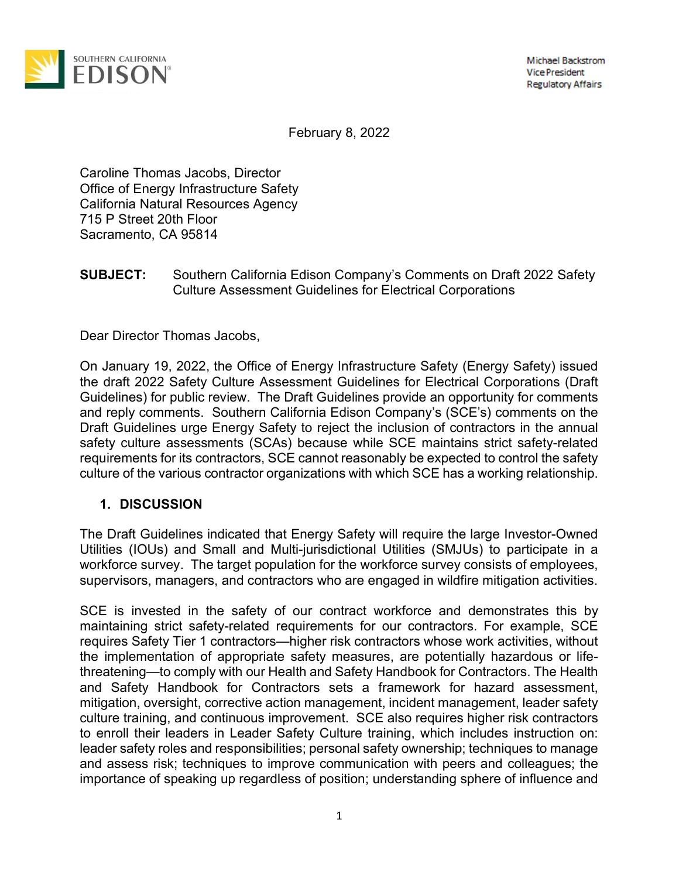

**Michael Backstrom Vice President Regulatory Affairs** 

February 8, 2022

Caroline Thomas Jacobs, Director Office of Energy Infrastructure Safety California Natural Resources Agency 715 P Street 20th Floor Sacramento, CA 95814

## SUBJECT: Southern California Edison Company's Comments on Draft 2022 Safety Culture Assessment Guidelines for Electrical Corporations

Dear Director Thomas Jacobs,

On January 19, 2022, the Office of Energy Infrastructure Safety (Energy Safety) issued the draft 2022 Safety Culture Assessment Guidelines for Electrical Corporations (Draft Guidelines) for public review. The Draft Guidelines provide an opportunity for comments and reply comments. Southern California Edison Company's (SCE's) comments on the Draft Guidelines urge Energy Safety to reject the inclusion of contractors in the annual safety culture assessments (SCAs) because while SCE maintains strict safety-related requirements for its contractors, SCE cannot reasonably be expected to control the safety culture of the various contractor organizations with which SCE has a working relationship.

## 1. DISCUSSION

The Draft Guidelines indicated that Energy Safety will require the large Investor-Owned Utilities (IOUs) and Small and Multi-jurisdictional Utilities (SMJUs) to participate in a workforce survey. The target population for the workforce survey consists of employees, supervisors, managers, and contractors who are engaged in wildfire mitigation activities.

SCE is invested in the safety of our contract workforce and demonstrates this by maintaining strict safety-related requirements for our contractors. For example, SCE requires Safety Tier 1 contractors—higher risk contractors whose work activities, without the implementation of appropriate safety measures, are potentially hazardous or lifethreatening—to comply with our Health and Safety Handbook for Contractors. The Health and Safety Handbook for Contractors sets a framework for hazard assessment, mitigation, oversight, corrective action management, incident management, leader safety culture training, and continuous improvement. SCE also requires higher risk contractors to enroll their leaders in Leader Safety Culture training, which includes instruction on: leader safety roles and responsibilities; personal safety ownership; techniques to manage and assess risk; techniques to improve communication with peers and colleagues; the importance of speaking up regardless of position; understanding sphere of influence and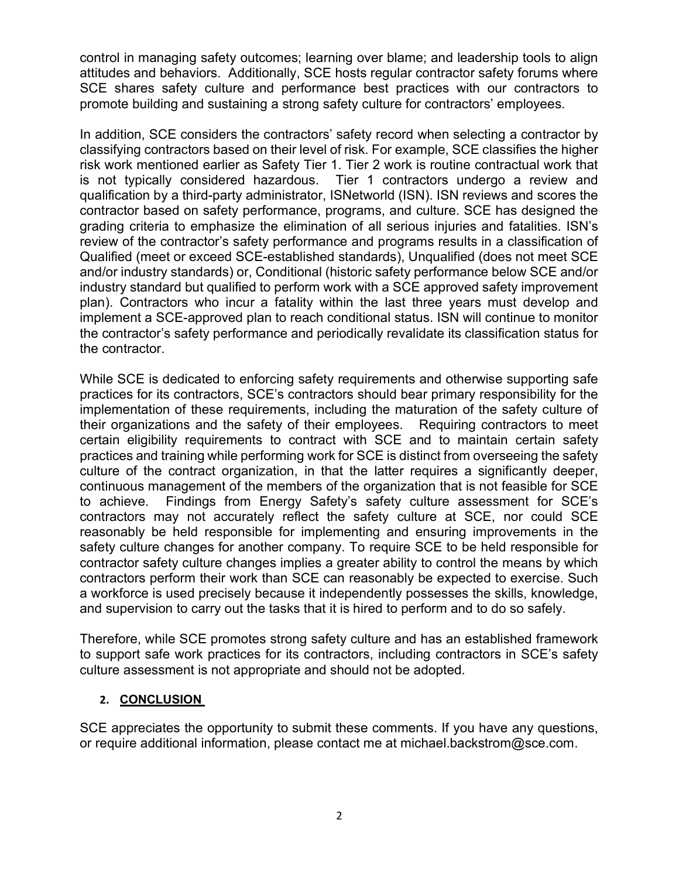control in managing safety outcomes; learning over blame; and leadership tools to align attitudes and behaviors. Additionally, SCE hosts regular contractor safety forums where SCE shares safety culture and performance best practices with our contractors to promote building and sustaining a strong safety culture for contractors' employees.

In addition, SCE considers the contractors' safety record when selecting a contractor by classifying contractors based on their level of risk. For example, SCE classifies the higher risk work mentioned earlier as Safety Tier 1. Tier 2 work is routine contractual work that is not typically considered hazardous. Tier 1 contractors undergo a review and qualification by a third-party administrator, ISNetworld (ISN). ISN reviews and scores the contractor based on safety performance, programs, and culture. SCE has designed the grading criteria to emphasize the elimination of all serious injuries and fatalities. ISN's review of the contractor's safety performance and programs results in a classification of Qualified (meet or exceed SCE-established standards), Unqualified (does not meet SCE and/or industry standards) or, Conditional (historic safety performance below SCE and/or industry standard but qualified to perform work with a SCE approved safety improvement plan). Contractors who incur a fatality within the last three years must develop and implement a SCE-approved plan to reach conditional status. ISN will continue to monitor the contractor's safety performance and periodically revalidate its classification status for the contractor.

While SCE is dedicated to enforcing safety requirements and otherwise supporting safe practices for its contractors, SCE's contractors should bear primary responsibility for the implementation of these requirements, including the maturation of the safety culture of their organizations and the safety of their employees. Requiring contractors to meet certain eligibility requirements to contract with SCE and to maintain certain safety practices and training while performing work for SCE is distinct from overseeing the safety culture of the contract organization, in that the latter requires a significantly deeper, continuous management of the members of the organization that is not feasible for SCE to achieve. Findings from Energy Safety's safety culture assessment for SCE's contractors may not accurately reflect the safety culture at SCE, nor could SCE reasonably be held responsible for implementing and ensuring improvements in the safety culture changes for another company. To require SCE to be held responsible for contractor safety culture changes implies a greater ability to control the means by which contractors perform their work than SCE can reasonably be expected to exercise. Such a workforce is used precisely because it independently possesses the skills, knowledge, and supervision to carry out the tasks that it is hired to perform and to do so safely.

Therefore, while SCE promotes strong safety culture and has an established framework to support safe work practices for its contractors, including contractors in SCE's safety culture assessment is not appropriate and should not be adopted.

## 2. CONCLUSION

SCE appreciates the opportunity to submit these comments. If you have any questions, or require additional information, please contact me at michael.backstrom@sce.com.